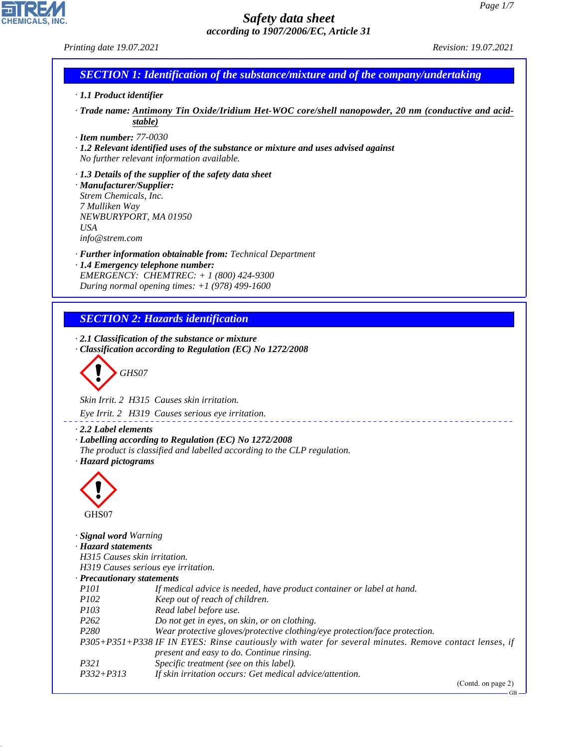*Printing date 19.07.2021 Revision: 19.07.2021*

**CHEMICALS** 

# *SECTION 1: Identification of the substance/mixture and of the company/undertaking*

- *· 1.1 Product identifier*
- *· Trade name: Antimony Tin Oxide/Iridium Het-WOC core/shell nanopowder, 20 nm (conductive and acidstable)*
- *· Item number: 77-0030*

*· 1.2 Relevant identified uses of the substance or mixture and uses advised against No further relevant information available.*

*· 1.3 Details of the supplier of the safety data sheet · Manufacturer/Supplier: Strem Chemicals, Inc. 7 Mulliken Way NEWBURYPORT, MA 01950 USA info@strem.com*

- *· Further information obtainable from: Technical Department · 1.4 Emergency telephone number: EMERGENCY: CHEMTREC: + 1 (800) 424-9300*
- *During normal opening times: +1 (978) 499-1600*

# *SECTION 2: Hazards identification*

*· 2.1 Classification of the substance or mixture · Classification according to Regulation (EC) No 1272/2008*

d~*GHS07*

*Skin Irrit. 2 H315 Causes skin irritation.*

*Eye Irrit. 2 H319 Causes serious eye irritation.*

#### *· 2.2 Label elements*

- *· Labelling according to Regulation (EC) No 1272/2008*
- *The product is classified and labelled according to the CLP regulation.*
- *· Hazard pictograms*



44.1.1

| Signal word Warning                 |                                                                                                       |
|-------------------------------------|-------------------------------------------------------------------------------------------------------|
| · Hazard statements                 |                                                                                                       |
| H315 Causes skin irritation.        |                                                                                                       |
| H319 Causes serious eye irritation. |                                                                                                       |
| $\cdot$ Precautionary statements    |                                                                                                       |
| <i>P<sub>101</sub></i>              | If medical advice is needed, have product container or label at hand.                                 |
| <i>P102</i>                         | Keep out of reach of children.                                                                        |
| <i>P103</i>                         | Read label before use.                                                                                |
| P <sub>262</sub>                    | Do not get in eyes, on skin, or on clothing.                                                          |
| P <sub>280</sub>                    | Wear protective gloves/protective clothing/eye protection/face protection.                            |
|                                     | P305+P351+P338 IF IN EYES: Rinse cautiously with water for several minutes. Remove contact lenses, if |
|                                     | present and easy to do. Continue rinsing.                                                             |
| P321                                | Specific treatment (see on this label).                                                               |
| $P332 + P313$                       | If skin irritation occurs: Get medical advice/attention.                                              |
|                                     |                                                                                                       |

(Contd. on page 2)

GB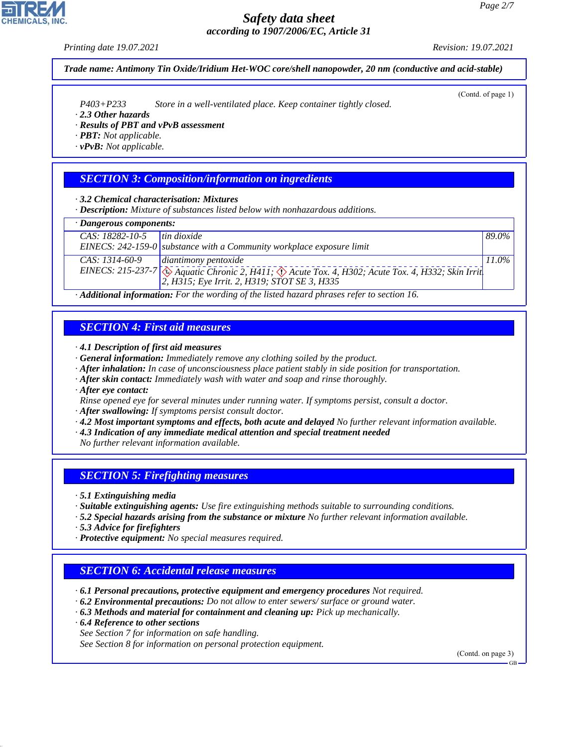#### *Printing date 19.07.2021 Revision: 19.07.2021*

*Trade name: Antimony Tin Oxide/Iridium Het-WOC core/shell nanopowder, 20 nm (conductive and acid-stable)*

*P403+P233 Store in a well-ventilated place. Keep container tightly closed.*

- *· 2.3 Other hazards*
- *· Results of PBT and vPvB assessment*

*· PBT: Not applicable.*

*· vPvB: Not applicable.*

# *SECTION 3: Composition/information on ingredients*

*· 3.2 Chemical characterisation: Mixtures*

*· Description: Mixture of substances listed below with nonhazardous additions.*

#### *· Dangerous components:*

| CAS: 18282-10-5  | tin dioxide                                                                                                       | $89.0\%$ |  |
|------------------|-------------------------------------------------------------------------------------------------------------------|----------|--|
|                  | EINECS: $242-159-0$ substance with a Community workplace exposure limit                                           |          |  |
| $CAS: 1314-60-9$ | diantimony pentoxide                                                                                              | $11.0\%$ |  |
|                  | EINECS: 215-237-7 $\otimes$ Aquatic Chronic 2, H411; $\otimes$ Acute Tox. 4, H302; Acute Tox. 4, H332; Skin Irrit |          |  |
|                  | $ 2, H315$ ; Eye Irrit. 2, H319; STOT SE 3, H335                                                                  |          |  |

*· Additional information: For the wording of the listed hazard phrases refer to section 16.*

## *SECTION 4: First aid measures*

- *· 4.1 Description of first aid measures*
- *· General information: Immediately remove any clothing soiled by the product.*
- *· After inhalation: In case of unconsciousness place patient stably in side position for transportation.*
- *· After skin contact: Immediately wash with water and soap and rinse thoroughly.*
- *· After eye contact:*
- *Rinse opened eye for several minutes under running water. If symptoms persist, consult a doctor.*
- *· After swallowing: If symptoms persist consult doctor.*
- *· 4.2 Most important symptoms and effects, both acute and delayed No further relevant information available.*
- *· 4.3 Indication of any immediate medical attention and special treatment needed*
- *No further relevant information available.*

## *SECTION 5: Firefighting measures*

*· 5.1 Extinguishing media*

- *· Suitable extinguishing agents: Use fire extinguishing methods suitable to surrounding conditions.*
- *· 5.2 Special hazards arising from the substance or mixture No further relevant information available.*
- *· 5.3 Advice for firefighters*
- *· Protective equipment: No special measures required.*

# *SECTION 6: Accidental release measures*

- *· 6.1 Personal precautions, protective equipment and emergency procedures Not required.*
- *· 6.2 Environmental precautions: Do not allow to enter sewers/ surface or ground water.*
- *· 6.3 Methods and material for containment and cleaning up: Pick up mechanically.*
- *· 6.4 Reference to other sections*

44.1.1

*See Section 7 for information on safe handling.*

*See Section 8 for information on personal protection equipment.*

(Contd. on page 3)



(Contd. of page 1)

GB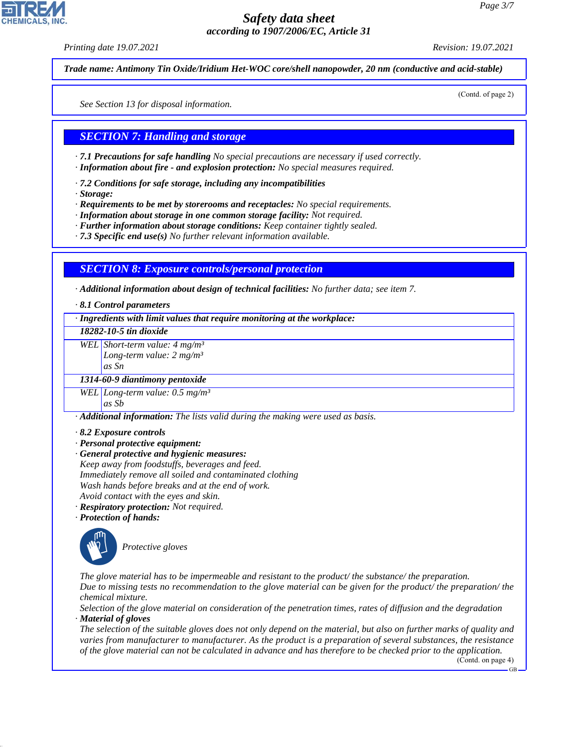*Printing date 19.07.2021 Revision: 19.07.2021*

*Trade name: Antimony Tin Oxide/Iridium Het-WOC core/shell nanopowder, 20 nm (conductive and acid-stable)*

(Contd. of page 2)

*See Section 13 for disposal information.*

## *SECTION 7: Handling and storage*

*· 7.1 Precautions for safe handling No special precautions are necessary if used correctly.*

- *· Information about fire and explosion protection: No special measures required.*
- *· 7.2 Conditions for safe storage, including any incompatibilities*
- *· Storage:*

*· Requirements to be met by storerooms and receptacles: No special requirements.*

- *· Information about storage in one common storage facility: Not required.*
- *· Further information about storage conditions: Keep container tightly sealed.*
- *· 7.3 Specific end use(s) No further relevant information available.*

## *SECTION 8: Exposure controls/personal protection*

*· Additional information about design of technical facilities: No further data; see item 7.*

*· 8.1 Control parameters*

*· Ingredients with limit values that require monitoring at the workplace:*

#### *18282-10-5 tin dioxide*

*WEL Short-term value: 4 mg/m³*

*Long-term value: 2 mg/m³*

*as Sn*

### *1314-60-9 diantimony pentoxide*

*WEL Long-term value: 0.5 mg/m³ as Sb*

*· Additional information: The lists valid during the making were used as basis.*

- *· 8.2 Exposure controls*
- *· Personal protective equipment:*
- *· General protective and hygienic measures: Keep away from foodstuffs, beverages and feed. Immediately remove all soiled and contaminated clothing Wash hands before breaks and at the end of work. Avoid contact with the eyes and skin.*
- *· Respiratory protection: Not required.*
- *· Protection of hands:*



44.1.1

\_S*Protective gloves*

*The glove material has to be impermeable and resistant to the product/ the substance/ the preparation. Due to missing tests no recommendation to the glove material can be given for the product/ the preparation/ the chemical mixture.*

*Selection of the glove material on consideration of the penetration times, rates of diffusion and the degradation · Material of gloves*

*The selection of the suitable gloves does not only depend on the material, but also on further marks of quality and varies from manufacturer to manufacturer. As the product is a preparation of several substances, the resistance of the glove material can not be calculated in advance and has therefore to be checked prior to the application.*

(Contd. on page 4)

GB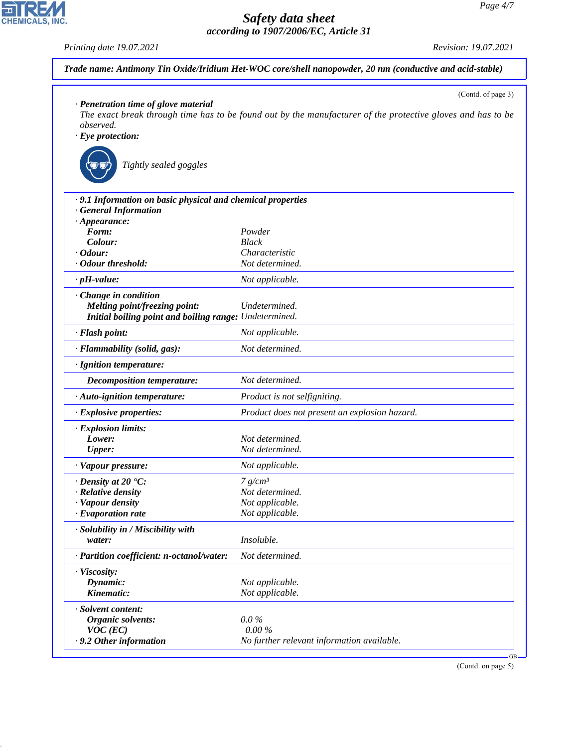*Printing date 19.07.2021 Revision: 19.07.2021*

CHEMICALS, INC.

44.1.1

| Trade name: Antimony Tin Oxide/Iridium Het-WOC core/shell nanopowder, 20 nm (conductive and acid-stable)         |                                                                                                                                   |  |  |  |
|------------------------------------------------------------------------------------------------------------------|-----------------------------------------------------------------------------------------------------------------------------------|--|--|--|
| · Penetration time of glove material<br><i>observed.</i><br>$\cdot$ Eye protection:<br>Tightly sealed goggles    | (Contd. of page 3)<br>The exact break through time has to be found out by the manufacturer of the protective gloves and has to be |  |  |  |
| · 9.1 Information on basic physical and chemical properties<br>· General Information<br>$\cdot$ Appearance:      |                                                                                                                                   |  |  |  |
| Form:                                                                                                            | Powder                                                                                                                            |  |  |  |
| Colour:                                                                                                          | <b>Black</b>                                                                                                                      |  |  |  |
| $\cdot$ Odour:<br>· Odour threshold:                                                                             | Characteristic<br>Not determined.                                                                                                 |  |  |  |
|                                                                                                                  |                                                                                                                                   |  |  |  |
| $\cdot$ pH-value:                                                                                                | Not applicable.                                                                                                                   |  |  |  |
| · Change in condition<br>Melting point/freezing point:<br>Initial boiling point and boiling range: Undetermined. | Undetermined.                                                                                                                     |  |  |  |
| · Flash point:                                                                                                   | Not applicable.                                                                                                                   |  |  |  |
| · Flammability (solid, gas):                                                                                     | Not determined.                                                                                                                   |  |  |  |
| · Ignition temperature:                                                                                          |                                                                                                                                   |  |  |  |
| <b>Decomposition temperature:</b>                                                                                | Not determined.                                                                                                                   |  |  |  |
| · Auto-ignition temperature:                                                                                     | Product is not selfigniting.                                                                                                      |  |  |  |
| · Explosive properties:                                                                                          | Product does not present an explosion hazard.                                                                                     |  |  |  |
| · Explosion limits:<br>Lower:<br><b>Upper:</b>                                                                   | Not determined.<br>Not determined.                                                                                                |  |  |  |
| · Vapour pressure:                                                                                               | Not applicable.                                                                                                                   |  |  |  |
| $\cdot$ Density at 20 $\textdegree$ C:<br>· Relative density<br>· Vapour density<br>$\cdot$ Evaporation rate     | 7 g/cm <sup>3</sup><br>Not determined.<br>Not applicable.<br>Not applicable.                                                      |  |  |  |
| · Solubility in / Miscibility with<br>water:                                                                     | Insoluble.                                                                                                                        |  |  |  |
| · Partition coefficient: n-octanol/water:                                                                        | Not determined.                                                                                                                   |  |  |  |
| · Viscosity:<br>Dynamic:<br>Kinematic:                                                                           | Not applicable.<br>Not applicable.                                                                                                |  |  |  |
| · Solvent content:<br>Organic solvents:<br>$VOC$ (EC)<br>· 9.2 Other information                                 | $0.0\%$<br>$0.00\%$<br>No further relevant information available.<br>$GB -$                                                       |  |  |  |

(Contd. on page 5)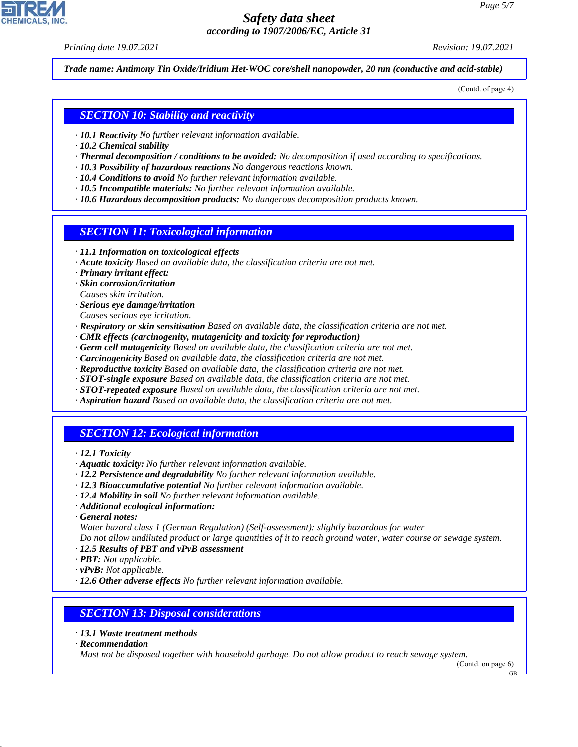*Printing date 19.07.2021 Revision: 19.07.2021*

*Trade name: Antimony Tin Oxide/Iridium Het-WOC core/shell nanopowder, 20 nm (conductive and acid-stable)*

(Contd. of page 4)

### *SECTION 10: Stability and reactivity*

- *· 10.1 Reactivity No further relevant information available.*
- *· 10.2 Chemical stability*
- *· Thermal decomposition / conditions to be avoided: No decomposition if used according to specifications.*
- *· 10.3 Possibility of hazardous reactions No dangerous reactions known.*
- *· 10.4 Conditions to avoid No further relevant information available.*
- *· 10.5 Incompatible materials: No further relevant information available.*
- *· 10.6 Hazardous decomposition products: No dangerous decomposition products known.*

### *SECTION 11: Toxicological information*

- *· 11.1 Information on toxicological effects*
- *· Acute toxicity Based on available data, the classification criteria are not met.*
- *· Primary irritant effect:*
- *· Skin corrosion/irritation*
- *Causes skin irritation.*
- *· Serious eye damage/irritation*
- *Causes serious eye irritation.*
- *· Respiratory or skin sensitisation Based on available data, the classification criteria are not met.*
- *· CMR effects (carcinogenity, mutagenicity and toxicity for reproduction)*
- *· Germ cell mutagenicity Based on available data, the classification criteria are not met.*
- *· Carcinogenicity Based on available data, the classification criteria are not met.*
- *· Reproductive toxicity Based on available data, the classification criteria are not met.*
- *· STOT-single exposure Based on available data, the classification criteria are not met.*
- *· STOT-repeated exposure Based on available data, the classification criteria are not met.*
- *· Aspiration hazard Based on available data, the classification criteria are not met.*

## *SECTION 12: Ecological information*

- *· 12.1 Toxicity*
- *· Aquatic toxicity: No further relevant information available.*
- *· 12.2 Persistence and degradability No further relevant information available.*
- *· 12.3 Bioaccumulative potential No further relevant information available.*
- *· 12.4 Mobility in soil No further relevant information available.*
- *· Additional ecological information:*
- *· General notes:*
- *Water hazard class 1 (German Regulation) (Self-assessment): slightly hazardous for water Do not allow undiluted product or large quantities of it to reach ground water, water course or sewage system.*
- *· 12.5 Results of PBT and vPvB assessment*
- *· PBT: Not applicable.*
- *· vPvB: Not applicable.*
- *· 12.6 Other adverse effects No further relevant information available.*

### *SECTION 13: Disposal considerations*

- *· 13.1 Waste treatment methods*
- *· Recommendation*

44.1.1

*Must not be disposed together with household garbage. Do not allow product to reach sewage system.*

GB

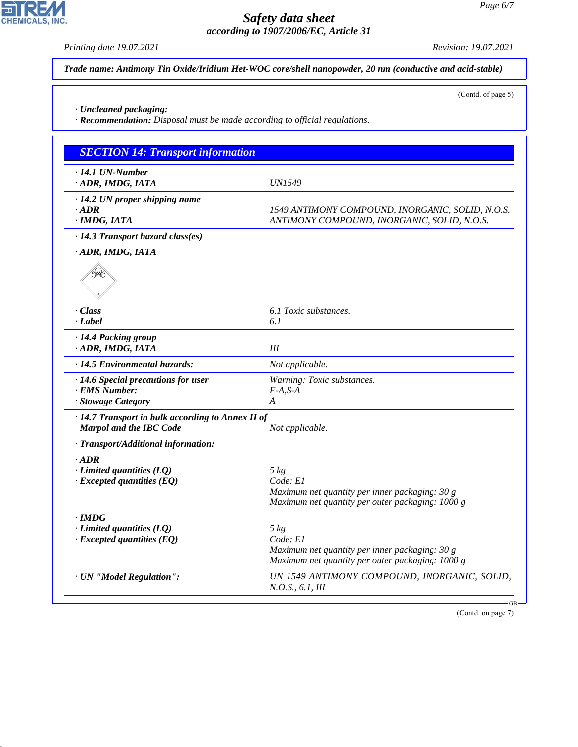*Printing date 19.07.2021 Revision: 19.07.2021*

고

**CHEMICALS, INC.** 

44.1.1

(Contd. of page 5)

*Trade name: Antimony Tin Oxide/Iridium Het-WOC core/shell nanopowder, 20 nm (conductive and acid-stable)*

*· Uncleaned packaging:*

*· Recommendation: Disposal must be made according to official regulations.*

| <b>SECTION 14: Transport information</b>          |                                                                                                    |
|---------------------------------------------------|----------------------------------------------------------------------------------------------------|
| $\cdot$ 14.1 UN-Number                            |                                                                                                    |
| · ADR, IMDG, IATA                                 | <b>UN1549</b>                                                                                      |
| $\cdot$ 14.2 UN proper shipping name              |                                                                                                    |
| $\cdot$ ADR                                       | 1549 ANTIMONY COMPOUND, INORGANIC, SOLID, N.O.S.                                                   |
| · IMDG, IATA                                      | ANTIMONY COMPOUND, INORGANIC, SOLID, N.O.S.                                                        |
| $\cdot$ 14.3 Transport hazard class(es)           |                                                                                                    |
| · ADR, IMDG, IATA                                 |                                                                                                    |
|                                                   |                                                                                                    |
| · Class                                           | 6.1 Toxic substances.                                                                              |
| · Label                                           | 6.1                                                                                                |
| · 14.4 Packing group                              |                                                                                                    |
| · ADR, IMDG, IATA                                 | Ш                                                                                                  |
| · 14.5 Environmental hazards:                     | Not applicable.                                                                                    |
| $\cdot$ 14.6 Special precautions for user         | Warning: Toxic substances.                                                                         |
| · EMS Number:                                     | $F-A.S-A$                                                                                          |
| · Stowage Category                                | A                                                                                                  |
| · 14.7 Transport in bulk according to Annex II of |                                                                                                    |
| <b>Marpol and the IBC Code</b>                    | Not applicable.                                                                                    |
| · Transport/Additional information:               |                                                                                                    |
| $-ADR$                                            |                                                                                                    |
| $\cdot$ Limited quantities (LQ)                   | $5 \ kg$                                                                                           |
| $\cdot$ Excepted quantities (EQ)                  | Code: El                                                                                           |
|                                                   | Maximum net quantity per inner packaging: 30 g<br>Maximum net quantity per outer packaging: 1000 g |
|                                                   |                                                                                                    |
| · IMDG                                            |                                                                                                    |
| $\cdot$ Limited quantities (LQ)                   | $5 \ kg$                                                                                           |
| $\cdot$ Excepted quantities (EQ)                  | Code: El<br>Maximum net quantity per inner packaging: 30 g                                         |
|                                                   | Maximum net quantity per outer packaging: 1000 g                                                   |
|                                                   |                                                                                                    |
| · UN "Model Regulation":                          | UN 1549 ANTIMONY COMPOUND, INORGANIC, SOLID,<br><i>N.O.S.</i> , 6.1, <i>III</i>                    |

(Contd. on page 7)

GB